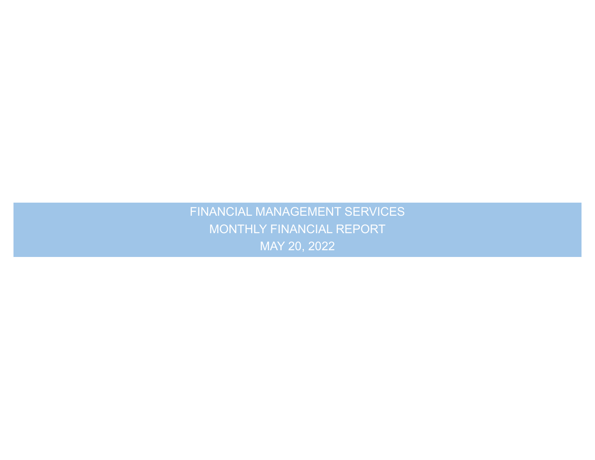.<br>N FINANCIAL MANAGEMENT SERVICES MONTHLY FINANCIAL REPORT MAY 20, 2022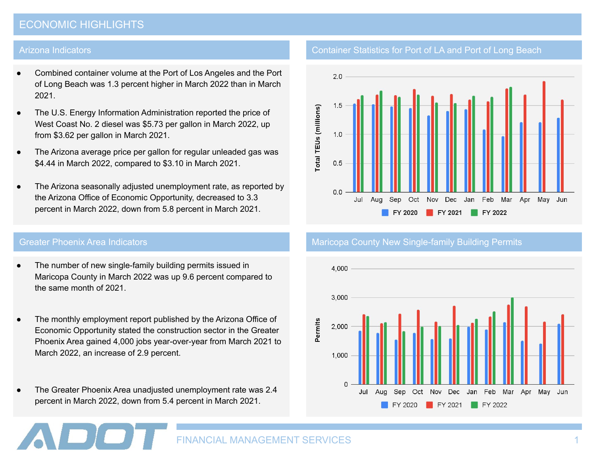## ECONOMIC HIGHLIGHTS

#### Arizona Indicators

- Combined container volume at the Port of Los Angeles and the Port of Long Beach was 1.3 percent higher in March 2022 than in March 2021.
- The U.S. Energy Information Administration reported the price of West Coast No. 2 diesel was \$5.73 per gallon in March 2022, up from \$3.62 per gallon in March 2021.
- The Arizona average price per gallon for regular unleaded gas was \$4.44 in March 2022, compared to \$3.10 in March 2021.
- The Arizona seasonally adjusted unemployment rate, as reported by the Arizona Office of Economic Opportunity, decreased to 3.3 percent in March 2022, down from 5.8 percent in March 2021.

- The number of new single-family building permits issued in Maricopa County in March 2022 was up 9.6 percent compared to the same month of 2021.
- The monthly employment report published by the Arizona Office of Economic Opportunity stated the construction sector in the Greater Phoenix Area gained 4,000 jobs year-over-year from March 2021 to March 2022, an increase of 2.9 percent.
- The Greater Phoenix Area unadjusted unemployment rate was 2.4 percent in March 2022, down from 5.4 percent in March 2021.

## Container Statistics for Port of LA and Port of Long Beach



#### Greater Phoenix Area Indicators Maria County Maricopa County New Single-family Building Permits

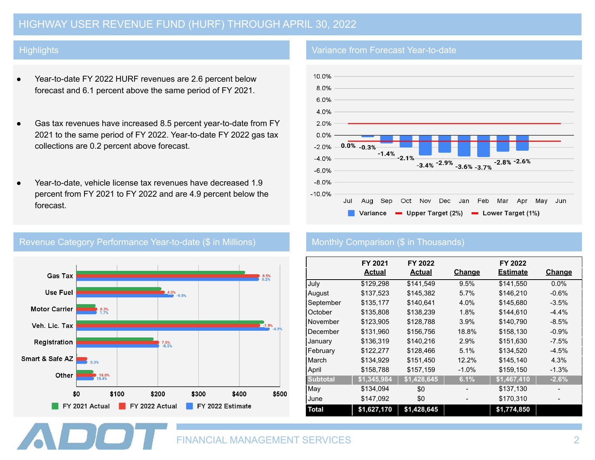# HIGHWAY USER REVENUE FUND (HURF) THROUGH APRIL 30, 2022

### **Highlights**

- Year-to-date FY 2022 HURF revenues are 2.6 percent below forecast and 6.1 percent above the same period of FY 2021.
- Gas tax revenues have increased 8.5 percent year-to-date from FY 2021 to the same period of FY 2022. Year-to-date FY 2022 gas tax collections are 0.2 percent above forecast.
- Year-to-date, vehicle license tax revenues have decreased 1.9 percent from FY 2021 to FY 2022 and are 4.9 percent below the forecast.



### Revenue Category Performance Year-to-date (\$ in Millions) Monthly Comparison (\$ in Thousands)

### Variance from Forecast Year-to-date



|                 | FY 2021<br><b>Actual</b> | FY 2022<br><b>Actual</b> | <b>Change</b> | FY 2022<br><b>Estimate</b> | <b>Change</b> |
|-----------------|--------------------------|--------------------------|---------------|----------------------------|---------------|
| July            | \$129,298                | \$141,549                | 9.5%          | \$141,550                  | $0.0\%$       |
| August          | \$137,523                | \$145,382                | 5.7%          | \$146,210                  | $-0.6%$       |
| September       | \$135,177                | \$140,641                | 4.0%          | \$145,680                  | $-3.5%$       |
| October         | \$135,808                | \$138,239                | 1.8%          | \$144,610                  | $-4.4%$       |
| November        | \$123,905                | \$128,788                | 3.9%          | \$140,790                  | $-8.5%$       |
| December        | \$131,960                | \$156,756                | 18.8%         | \$158,130                  | $-0.9%$       |
| January         | \$136,319                | \$140,216                | 2.9%          | \$151,630                  | $-7.5\%$      |
| February        | \$122,277                | \$128,466                | 5.1%          | \$134,520                  | $-4.5%$       |
| March           | \$134,929                | \$151,450                | 12.2%         | \$145,140                  | 4.3%          |
| April           | \$158,788                | \$157,159                | $-1.0\%$      | \$159,150                  | $-1.3%$       |
| <b>Subtotal</b> | $\sqrt{1,345,984}$       | \$1,428,645              | 6.1%          | \$1,467,410                | $-2.6%$       |
| May             | \$134,094                | \$0                      |               | \$137,130                  |               |
| June            | \$147,092                | \$0                      |               | \$170,310                  |               |
| <b>Total</b>    | \$1,627,170              | \$1,428,645              |               | \$1,774,850                |               |

FINANCIAL MANAGEMENT SERVICES 2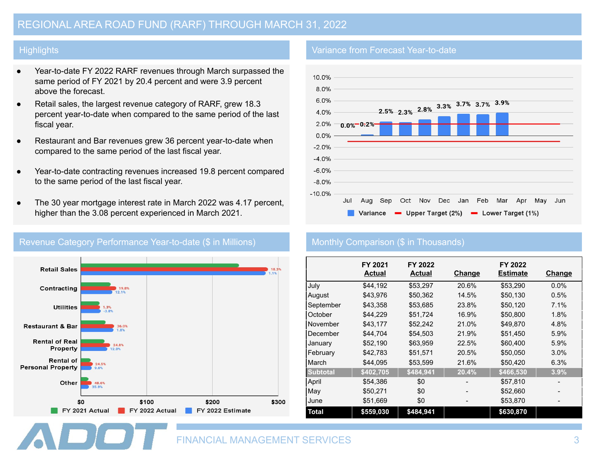### **Highlights**

- Year-to-date FY 2022 RARF revenues through March surpassed the same period of FY 2021 by 20.4 percent and were 3.9 percent above the forecast.
- Retail sales, the largest revenue category of RARF, grew 18.3 percent year-to-date when compared to the same period of the last fiscal year.
- Restaurant and Bar revenues grew 36 percent year-to-date when compared to the same period of the last fiscal year.
- Year-to-date contracting revenues increased 19.8 percent compared to the same period of the last fiscal year.
- The 30 year mortgage interest rate in March 2022 was 4.17 percent, higher than the 3.08 percent experienced in March 2021.



#### Revenue Category Performance Year-to-date (\$ in Millions) Monthly Comparison (\$ in Thousands)

#### Variance from Forecast Year-to-date



|                 | FY 2021          | FY 2022       |               | FY 2022         |               |
|-----------------|------------------|---------------|---------------|-----------------|---------------|
|                 | <b>Actual</b>    | <b>Actual</b> | <b>Change</b> | <b>Estimate</b> | <b>Change</b> |
| July            | \$44.192         | \$53,297      | 20.6%         | \$53,290        | $0.0\%$       |
| August          | \$43.976         | \$50,362      | 14.5%         | \$50,130        | 0.5%          |
| September       | \$43,358         | \$53.685      | 23.8%         | \$50,120        | 7.1%          |
| October         | \$44,229         | \$51,724      | 16.9%         | \$50,800        | 1.8%          |
| November        | \$43,177         | \$52,242      | 21.0%         | \$49,870        | 4.8%          |
| December        | \$44,704         | \$54,503      | 21.9%         | \$51,450        | 5.9%          |
| January         | \$52,190         | \$63,959      | 22.5%         | \$60,400        | 5.9%          |
| February        | \$42,783         | \$51,571      | 20.5%         | \$50,050        | 3.0%          |
| March           | \$44,095         | \$53,599      | 21.6%         | \$50,420        | 6.3%          |
| <b>Subtotal</b> | $\sqrt{402,705}$ | \$484,941     | 20.4%         | \$466,530       | 3.9%          |
| April           | \$54,386         | \$0           |               | \$57,810        |               |
| May             | \$50,271         | \$0           |               | \$52,660        |               |
| June            | \$51,669         | \$0           |               | \$53,870        |               |
| <b>Total</b>    | \$559,030        | \$484,941     |               | \$630,870       |               |

FINANCIAL MANAGEMENT SERVICES 3